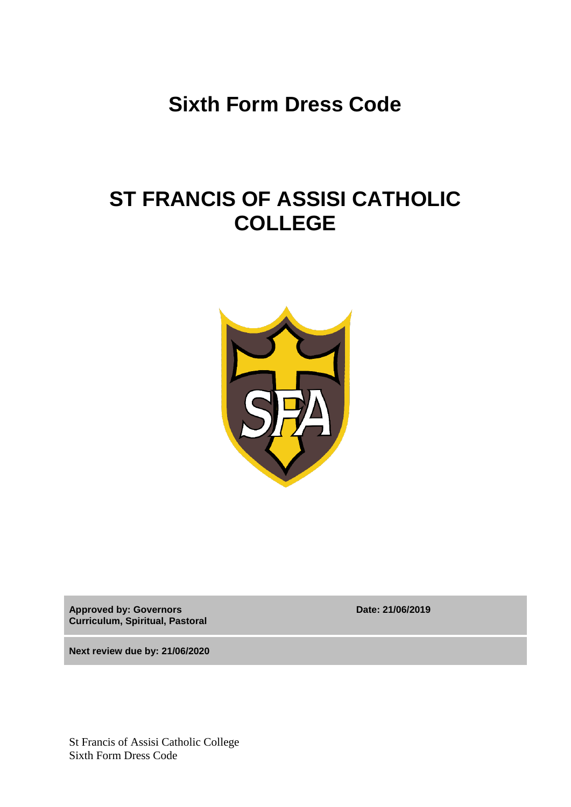**Sixth Form Dress Code**

## **ST FRANCIS OF ASSISI CATHOLIC COLLEGE**



**Approved by: Governors Curriculum, Spiritual, Pastoral** **Date: 21/06/2019**

**Next review due by: 21/06/2020**

St Francis of Assisi Catholic College Sixth Form Dress Code